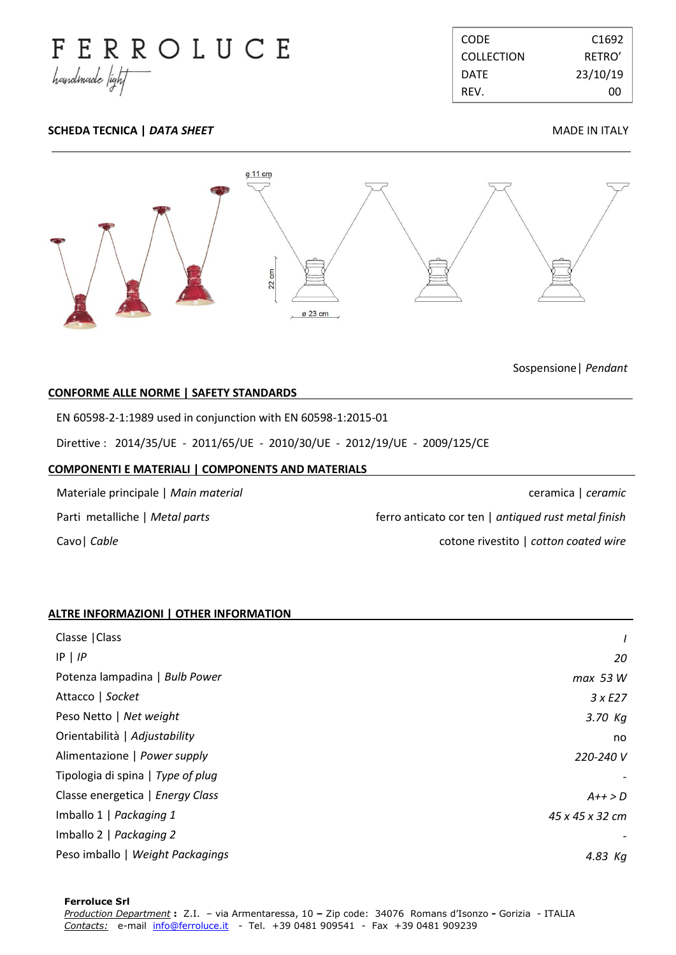

| CODE.             | C <sub>1692</sub> |
|-------------------|-------------------|
| <b>COLLECTION</b> | RFTRO'            |
| DATF.             | 23/10/19          |
| RFV.              | ററ                |

# **SCHEDA TECNICA |** *DATA SHEET* **MADE IN ITALY**



Sospensione| *Pendant*

## **CONFORME ALLE NORME | SAFETY STANDARDS .**

EN 60598-2-1:1989 used in conjunction with EN 60598-1:2015-01

Direttive : 2014/35/UE - 2011/65/UE - 2010/30/UE - 2012/19/UE - 2009/125/CE

### **COMPONENTI E MATERIALI | COMPONENTS AND MATERIALS .**

Materiale principale | *Main material* Parti metalliche | *Metal parts* Cavo| *Cable*

ceramica | *ceramic* ferro anticato cor ten | *antiqued rust metal finish* cotone rivestito | *cotton coated wire*

## **ALTRE INFORMAZIONI | OTHER INFORMATION .**

| Classe   Class                    |                 |
|-----------------------------------|-----------------|
| $IP$   $IP$                       | 20              |
| Potenza lampadina   Bulb Power    | max 53 W        |
| Attacco   Socket                  | 3xE27           |
| Peso Netto   Net weight           | $3.70$ Kg       |
| Orientabilità   Adjustability     | no              |
| Alimentazione   Power supply      | 220-240 V       |
| Tipologia di spina   Type of plug |                 |
| Classe energetica   Energy Class  | $A++>D$         |
| Imballo 1   Packaging 1           | 45 x 45 x 32 cm |
| Imballo 2   Packaging 2           |                 |
| Peso imballo   Weight Packagings  | 4.83 Kg         |